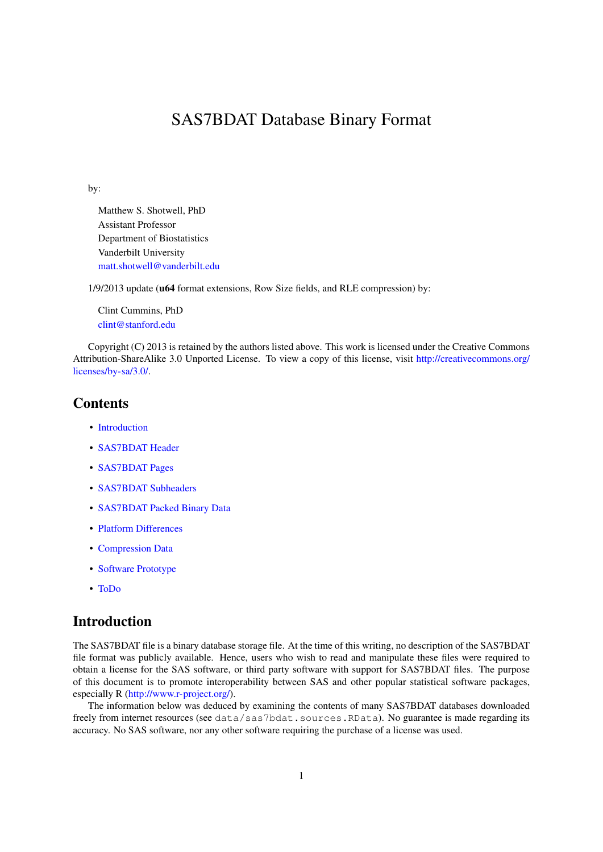# SAS7BDAT Database Binary Format

<span id="page-0-1"></span>by:

Matthew S. Shotwell, PhD Assistant Professor Department of Biostatistics Vanderbilt University [matt.shotwell@vanderbilt.edu](mailto:matt.shotwell@vanderbilt.edu)

1/9/2013 update (u64 format extensions, Row Size fields, and RLE compression) by:

Clint Cummins, PhD [clint@stanford.edu](mailto:clint@stanford.edu)

Copyright (C) 2013 is retained by the authors listed above. This work is licensed under the Creative Commons Attribution-ShareAlike 3.0 Unported License. To view a copy of this license, visit [http://creativecommons.org/](http://creativecommons.org/licenses/by-sa/3.0/) [licenses/by-sa/3.0/.](http://creativecommons.org/licenses/by-sa/3.0/)

# **Contents**

- [Introduction](#page-0-0)
- [SAS7BDAT Header](#page-1-0)
- [SAS7BDAT Pages](#page-5-0)
- [SAS7BDAT Subheaders](#page-7-0)
- [SAS7BDAT Packed Binary Data](#page-14-0)
- [Platform Differences](#page-15-0)
- [Compression Data](#page-16-0)
- [Software Prototype](#page-16-1)
- [ToDo](#page-17-0)

# <span id="page-0-0"></span>Introduction

The SAS7BDAT file is a binary database storage file. At the time of this writing, no description of the SAS7BDAT file format was publicly available. Hence, users who wish to read and manipulate these files were required to obtain a license for the SAS software, or third party software with support for SAS7BDAT files. The purpose of this document is to promote interoperability between SAS and other popular statistical software packages, especially R [\(http://www.r-project.org/\)](http://www.r-project.org/).

The information below was deduced by examining the contents of many SAS7BDAT databases downloaded freely from internet resources (see data/sas7bdat.sources.RData). No guarantee is made regarding its accuracy. No SAS software, nor any other software requiring the purchase of a license was used.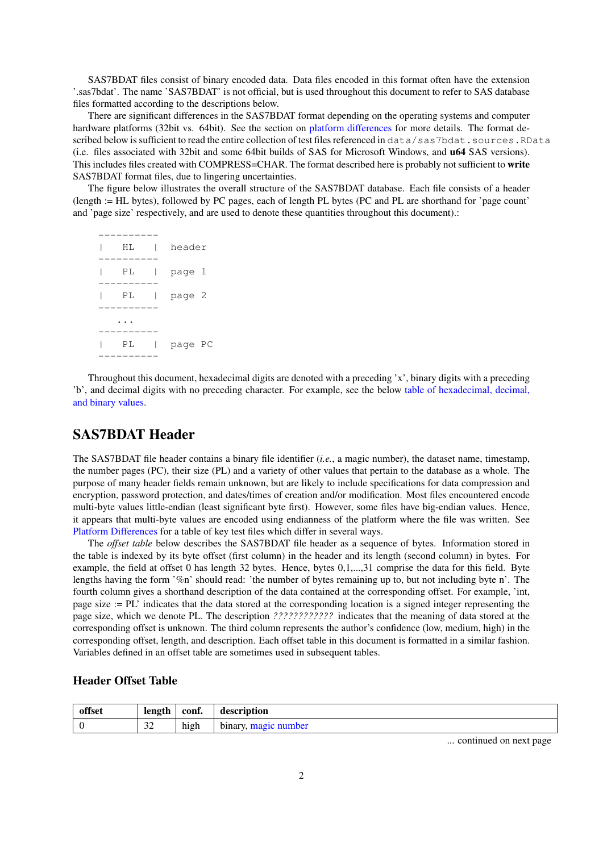SAS7BDAT files consist of binary encoded data. Data files encoded in this format often have the extension '.sas7bdat'. The name 'SAS7BDAT' is not official, but is used throughout this document to refer to SAS database files formatted according to the descriptions below.

There are significant differences in the SAS7BDAT format depending on the operating systems and computer hardware platforms (32bit vs. 64bit). See the section on [platform differences](#page-15-0) for more details. The format described below is sufficient to read the entire collection of test files referenced in data/sas7bdat.sources.RData (i.e. files associated with 32bit and some 64bit builds of SAS for Microsoft Windows, and u64 SAS versions). This includes files created with COMPRESS=CHAR. The format described here is probably not sufficient to write SAS7BDAT format files, due to lingering uncertainties.

The figure below illustrates the overall structure of the SAS7BDAT database. Each file consists of a header (length := HL bytes), followed by PC pages, each of length PL bytes (PC and PL are shorthand for 'page count' and 'page size' respectively, and are used to denote these quantities throughout this document).:

| НL | header  |  |
|----|---------|--|
| РL | page 1  |  |
| РL | page 2  |  |
|    |         |  |
| РL | page PC |  |
|    |         |  |

Throughout this document, hexadecimal digits are denoted with a preceding 'x', binary digits with a preceding 'b', and decimal digits with no preceding character. For example, see the below [table of hexadecimal, decimal,](#page-3-0) [and binary values.](#page-3-0)

# <span id="page-1-0"></span>SAS7BDAT Header

The SAS7BDAT file header contains a binary file identifier (*i.e.*, a magic number), the dataset name, timestamp, the number pages (PC), their size (PL) and a variety of other values that pertain to the database as a whole. The purpose of many header fields remain unknown, but are likely to include specifications for data compression and encryption, password protection, and dates/times of creation and/or modification. Most files encountered encode multi-byte values little-endian (least significant byte first). However, some files have big-endian values. Hence, it appears that multi-byte values are encoded using endianness of the platform where the file was written. See [Platform Differences](#page-15-0) for a table of key test files which differ in several ways.

The *offset table* below describes the SAS7BDAT file header as a sequence of bytes. Information stored in the table is indexed by its byte offset (first column) in the header and its length (second column) in bytes. For example, the field at offset 0 has length 32 bytes. Hence, bytes 0,1,...,31 comprise the data for this field. Byte lengths having the form '%n' should read: 'the number of bytes remaining up to, but not including byte n'. The fourth column gives a shorthand description of the data contained at the corresponding offset. For example, 'int, page size := PL' indicates that the data stored at the corresponding location is a signed integer representing the page size, which we denote PL. The description *????????????* indicates that the meaning of data stored at the corresponding offset is unknown. The third column represents the author's confidence (low, medium, high) in the corresponding offset, length, and description. Each offset table in this document is formatted in a similar fashion. Variables defined in an offset table are sometimes used in subsequent tables.

## Header Offset Table

| offset | length | conf.   | description |
|--------|--------|---------|-------------|
|        | $\sim$ | $\cdot$ | binary,     |
|        | سدت    | high    | number      |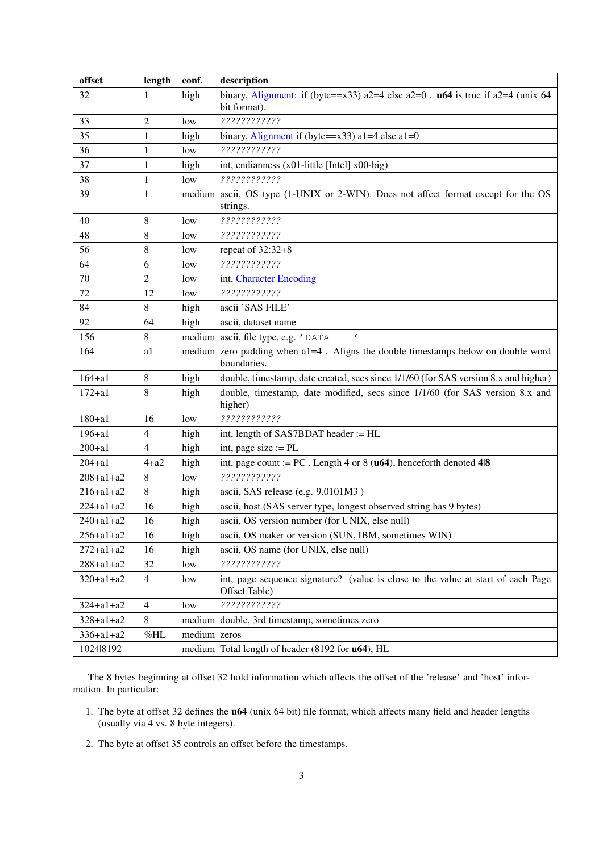| offset          | length         | conf.  | description                                                                                       |  |  |
|-----------------|----------------|--------|---------------------------------------------------------------------------------------------------|--|--|
| 32              | 1              | high   | binary, Alignment: if (byte== $x33$ ) a2=4 else a2=0. <b>u64</b> is true if a2=4 (unix 64         |  |  |
|                 |                |        | bit format).                                                                                      |  |  |
| 33              | 2              | low    | ????????????                                                                                      |  |  |
| 35              | 1              | high   | binary, Alignment if (byte= $=x33$ ) a1=4 else a1=0                                               |  |  |
| 36              | 1              | low    | ????????????                                                                                      |  |  |
| 37              | 1              | high   | int, endianness (x01-little [Intel] x00-big)                                                      |  |  |
| 38              | 1              | low    | ????????????                                                                                      |  |  |
| 39              | $\mathbf{1}$   | medium | ascii, OS type (1-UNIX or 2-WIN). Does not affect format except for the OS<br>strings.            |  |  |
| 40              | 8              | low    | ????????????                                                                                      |  |  |
| 48              | 8              | low    | ?????????????                                                                                     |  |  |
| 56              | 8              | low    | repeat of $32:32+8$                                                                               |  |  |
| 64              | 6              | low    | ?????????????                                                                                     |  |  |
| 70              | 2              | low    | int, Character Encoding                                                                           |  |  |
| 72              | 12             | low    | ?????????????                                                                                     |  |  |
| 84              | 8              | high   | ascii 'SAS FILE'                                                                                  |  |  |
| 92              | 64             | high   | ascii, dataset name                                                                               |  |  |
| 156             | 8              | medium | $\pmb{r}$<br>ascii, file type, e.g. 'DATA                                                         |  |  |
| 164             | a1             | medium | zero padding when a1=4. Aligns the double timestamps below on double word<br>boundaries.          |  |  |
| $164 + a1$      | 8              | high   | double, timestamp, date created, secs since 1/1/60 (for SAS version 8.x and higher)               |  |  |
| $172 + a1$      | 8              | high   | double, timestamp, date modified, secs since 1/1/60 (for SAS version 8.x and<br>higher)           |  |  |
| $180 + a1$      | 16             | low    | ?????????????                                                                                     |  |  |
| $196 + a1$      | 4              | high   | int, length of SAS7BDAT header := HL                                                              |  |  |
| $200 + a1$      | 4              | high   | int, page size $:=$ PL                                                                            |  |  |
| $204 + a1$      | $4+a2$         | high   | int, page count := PC. Length 4 or 8 ( $\mathbf{u64}$ ), henceforth denoted 4 8                   |  |  |
| $208 + a1 + a2$ | 8              | low    | ?????????????                                                                                     |  |  |
| $216 + a1 + a2$ | 8              | high   | ascii, SAS release (e.g. 9.0101M3)                                                                |  |  |
| $224 + a1 + a2$ | 16             | high   | ascii, host (SAS server type, longest observed string has 9 bytes)                                |  |  |
| $240 + a1 + a2$ | 16             | high   | ascii, OS version number (for UNIX, else null)                                                    |  |  |
| $256 + a1 + a2$ | 16             | high   | ascii, OS maker or version (SUN, IBM, sometimes WIN)                                              |  |  |
| $272 + a1 + a2$ | 16             | high   | ascii, OS name (for UNIX, else null)                                                              |  |  |
| $288 + a1 + a2$ | 32             | low    | ????????????                                                                                      |  |  |
| $320 + a1 + a2$ | 4              | low    | int, page sequence signature? (value is close to the value at start of each Page<br>Offset Table) |  |  |
| $324 + a1 + a2$ | $\overline{4}$ | low    | ????????????                                                                                      |  |  |
| $328 + a1 + a2$ | 8              | medium | double, 3rd timestamp, sometimes zero                                                             |  |  |
| $336 + a1 + a2$ | $\%{\rm HL}$   | medium | zeros                                                                                             |  |  |
| 102418192       |                |        | medium Total length of header (8192 for <b>u64</b> ), HL                                          |  |  |

The 8 bytes beginning at offset 32 hold information which affects the offset of the 'release' and 'host' information. In particular:

- 1. The byte at offset 32 defines the u64 (unix 64 bit) file format, which affects many field and header lengths (usually via 4 vs. 8 byte integers).
- 2. The byte at offset 35 controls an offset before the timestamps.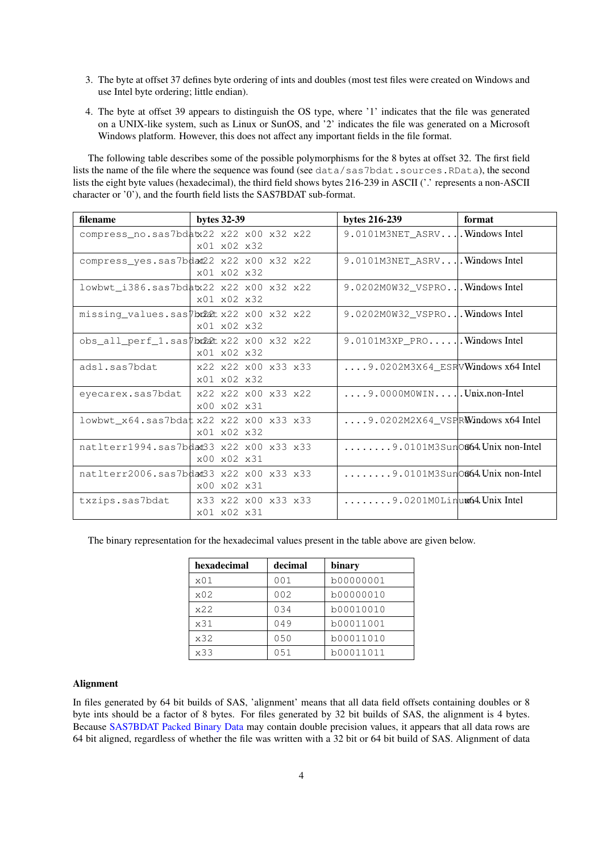- 3. The byte at offset 37 defines byte ordering of ints and doubles (most test files were created on Windows and use Intel byte ordering; little endian).
- 4. The byte at offset 39 appears to distinguish the OS type, where '1' indicates that the file was generated on a UNIX-like system, such as Linux or SunOS, and '2' indicates the file was generated on a Microsoft Windows platform. However, this does not affect any important fields in the file format.

The following table describes some of the possible polymorphisms for the 8 bytes at offset 32. The first field lists the name of the file where the sequence was found (see data/sas7bdat.sources.RData), the second lists the eight byte values (hexadecimal), the third field shows bytes 216-239 in ASCII ('.' represents a non-ASCII character or '0'), and the fourth field lists the SAS7BDAT sub-format.

| filename                                | bytes 32-39                                      | bytes 216-239                                             | format |
|-----------------------------------------|--------------------------------------------------|-----------------------------------------------------------|--------|
| compress_no.sas7bdatx22 x22 x00 x32 x22 | $x01 \times 02 \times 32$                        | 9.0101M3NET_ASRV Windows Intel                            |        |
| compress_yes.sas7bdat22 x22 x00 x32 x22 | x01 x02 x32                                      |                                                           |        |
| lowbwt_i386.sas7bdatx22 x22 x00 x32 x22 | x01 x02 x32                                      | 9.0202M0W32_VSPROWindows Intel                            |        |
| missing_values.sas7bx22tx22 x00 x32 x22 | x01 x02 x32                                      | 9.0202M0W32_VSPROWindows Intel                            |        |
| obs_all_perf_1.sas7bx22tx22 x00 x32 x22 | $x01 \times 02 \times 32$                        |                                                           |        |
| adsl.sas7bdat                           | x22 x22 x00 x33 x33<br>x01 x02 x32               | $\ldots$ . 9.0202M3X64_ESRVWindows x64 Intel              |        |
| eyecarex.sas7bdat                       | x22 x22 x00 x33 x22<br>$x00 \times 02 \times 31$ | $\ldots$ . 9.0000MOWIN   Unix.non-Intel                   |        |
| lowbwt_x64.sas7bdatx22 x22 x00 x33 x33  | x01 x02 x32                                      | $\ldots$ . 9.0202M2X64_VSPRWindows x64 Intel              |        |
| natlterr1994.sas7bdad33 x22 x00 x33 x33 | x00 x02 x31                                      | $\ldots \ldots$ . 9.0101M3Sun $\circ$ 664. Unix non-Intel |        |
| natlterr2006.sas7bdad33 x22 x00 x33 x33 | x00 x02 x31                                      | $\ldots \ldots$ . 9.0101M3Sun $\circ$ 64. Unix non-Intel  |        |
| txzips.sas7bdat                         | x33 x22 x00 x33 x33<br>x01 x02 x31               | $\ldots \ldots$ , 9.0201MOLinux64.Unix Intel              |        |

<span id="page-3-0"></span>The binary representation for the hexadecimal values present in the table above are given below.

| hexadecimal | decimal | binary    |
|-------------|---------|-----------|
| x01         | 001     | b00000001 |
| x02         | 002     | b00000010 |
| x22         | 034     | b00010010 |
| x31         | 049     | b00011001 |
| x32         | 050     | b00011010 |
| x33         | 051     | b00011011 |

#### <span id="page-3-1"></span>Alignment

In files generated by 64 bit builds of SAS, 'alignment' means that all data field offsets containing doubles or 8 byte ints should be a factor of 8 bytes. For files generated by 32 bit builds of SAS, the alignment is 4 bytes. Because [SAS7BDAT Packed Binary Data](#page-14-0) may contain double precision values, it appears that all data rows are 64 bit aligned, regardless of whether the file was written with a 32 bit or 64 bit build of SAS. Alignment of data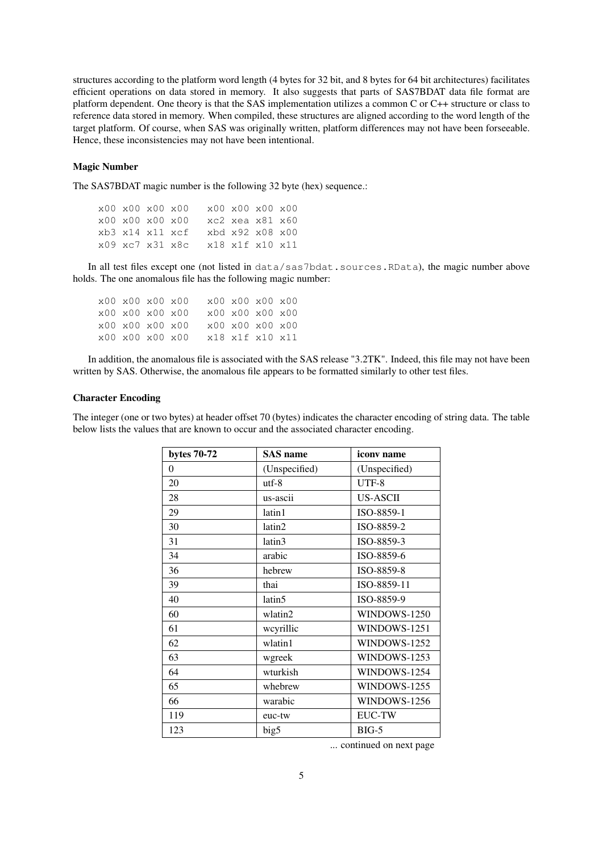structures according to the platform word length (4 bytes for 32 bit, and 8 bytes for 64 bit architectures) facilitates efficient operations on data stored in memory. It also suggests that parts of SAS7BDAT data file format are platform dependent. One theory is that the SAS implementation utilizes a common C or C++ structure or class to reference data stored in memory. When compiled, these structures are aligned according to the word length of the target platform. Of course, when SAS was originally written, platform differences may not have been forseeable. Hence, these inconsistencies may not have been intentional.

#### <span id="page-4-0"></span>Magic Number

The SAS7BDAT magic number is the following 32 byte (hex) sequence.:

x00 x00 x00 x00 x00 x00 x00 x00 x00 x00 x00 x00 xc2 xea x81 x60 xb3 x14 x11 xcf xbd x92 x08 x00 x09 xc7 x31 x8c x18 x1f x10 x11

In all test files except one (not listed in data/sas7bdat.sources.RData), the magic number above holds. The one anomalous file has the following magic number:

| x00 x00 x00 x00 |  | x00 x00 x00 x00 |  |  |
|-----------------|--|-----------------|--|--|
| x00 x00 x00 x00 |  | x00 x00 x00 x00 |  |  |
| x00 x00 x00 x00 |  | x00 x00 x00 x00 |  |  |
| x00 x00 x00 x00 |  | x18 x1f x10 x11 |  |  |

In addition, the anomalous file is associated with the SAS release "3.2TK". Indeed, this file may not have been written by SAS. Otherwise, the anomalous file appears to be formatted similarly to other test files.

#### <span id="page-4-1"></span>Character Encoding

The integer (one or two bytes) at header offset 70 (bytes) indicates the character encoding of string data. The table below lists the values that are known to occur and the associated character encoding.

| bytes 70-72 | <b>SAS</b> name | iconv name      |
|-------------|-----------------|-----------------|
| $\theta$    | (Unspecified)   | (Unspecified)   |
| 20          | $utf-8$         | UTF-8           |
| 28          | us-ascii        | <b>US-ASCII</b> |
| 29          | latin1          | ISO-8859-1      |
| 30          | latin2          | ISO-8859-2      |
| 31          | latin3          | ISO-8859-3      |
| 34          | arabic          | ISO-8859-6      |
| 36          | hebrew          | ISO-8859-8      |
| 39          | thai            | ISO-8859-11     |
| 40          | latin5          | ISO-8859-9      |
| 60          | wlatin2         | WINDOWS-1250    |
| 61          | wcyrillic       | WINDOWS-1251    |
| 62          | wlatin1         | WINDOWS-1252    |
| 63          | wgreek          | WINDOWS-1253    |
| 64          | wturkish        | WINDOWS-1254    |
| 65          | whebrew         | WINDOWS-1255    |
| 66          | warabic         | WINDOWS-1256    |
| 119         | euc-tw          | <b>EUC-TW</b>   |
| 123         | big5            | $BIG-5$         |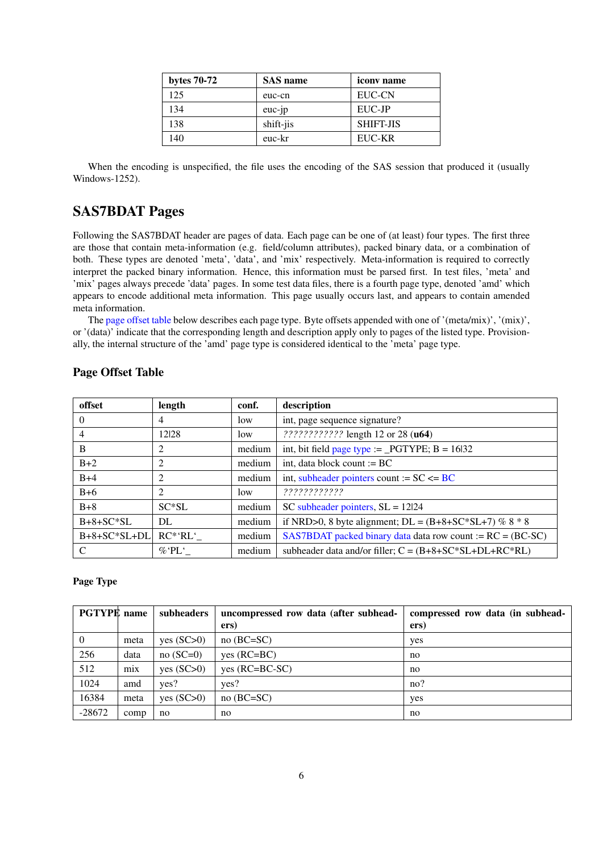| bytes $70-72$ | <b>SAS</b> name | <i>iconv</i> name |
|---------------|-----------------|-------------------|
| 125           | euc-cn          | EUC-CN            |
| 134           | $euc-p$         | EUC-JP            |
| 138           | shift-jis       | <b>SHIFT-JIS</b>  |
| 140           | euc-kr          | EUC-KR            |

When the encoding is unspecified, the file uses the encoding of the SAS session that produced it (usually Windows-1252).

# <span id="page-5-0"></span>SAS7BDAT Pages

Following the SAS7BDAT header are pages of data. Each page can be one of (at least) four types. The first three are those that contain meta-information (e.g. field/column attributes), packed binary data, or a combination of both. These types are denoted 'meta', 'data', and 'mix' respectively. Meta-information is required to correctly interpret the packed binary information. Hence, this information must be parsed first. In test files, 'meta' and 'mix' pages always precede 'data' pages. In some test data files, there is a fourth page type, denoted 'amd' which appears to encode additional meta information. This page usually occurs last, and appears to contain amended meta information.

The [page offset table](#page-5-1) below describes each page type. Byte offsets appended with one of '(meta/mix)', '(mix)', or '(data)' indicate that the corresponding length and description apply only to pages of the listed type. Provisionally, the internal structure of the 'amd' page type is considered identical to the 'meta' page type.

| offset         | length         | conf.  | description                                                  |
|----------------|----------------|--------|--------------------------------------------------------------|
| $\theta$       | $\overline{4}$ | low    | int, page sequence signature?                                |
| $\overline{4}$ | 12 28          | low    | ???????????? length 12 or 28 (u64)                           |
| B              | 2              | medium | int, bit field page type := _PGTYPE; $B = 16132$             |
| $B+2$          |                | medium | int, data block count $:= BC$                                |
| $B+4$          | 2              | medium | int, subheader pointers count := $SC \le BC$                 |
| $B+6$          | 2              | low    | ?????????????                                                |
| $B+8$          | $SC*SL$        | medium | SC subheader pointers, $SL = 12124$                          |
| $B+8+SC*SL$    | DL             | medium | if NRD>0, 8 byte alignment; DL = $(B+8+SC*SL+7)$ % 8 $*$ 8   |
| $B+8+SC*SL+DL$ | $RC^*RL'$      | medium | SAS7BDAT packed binary data data row count := $RC = (BC-SC)$ |
|                | $\%$ 'PL '     | medium | subheader data and/or filler; $C = (B+8+SC*SL+DL+RC*RL)$     |

## <span id="page-5-1"></span>Page Offset Table

### <span id="page-5-2"></span>Page Type

| <b>PGTYPE</b> name |      | subheaders   | uncompressed row data (after subhead- | compressed row data (in subhead- |
|--------------------|------|--------------|---------------------------------------|----------------------------------|
|                    |      |              | ers)                                  | ers)                             |
| $\overline{0}$     | meta | yes (SC>0)   | $no(BC=SC)$                           | yes                              |
| 256                | data | $no(SC=0)$   | $ves (RC=BC)$                         | no                               |
| 512                | mix  | yes $(SC>0)$ | $yes (RC=BC-SC)$                      | no                               |
| 1024               | amd  | yes?         | yes?                                  | no?                              |
| 16384              | meta | yes $(SC>0)$ | $no(BC=SC)$                           | yes                              |
| $-28672$           | comp | no           | no                                    | no                               |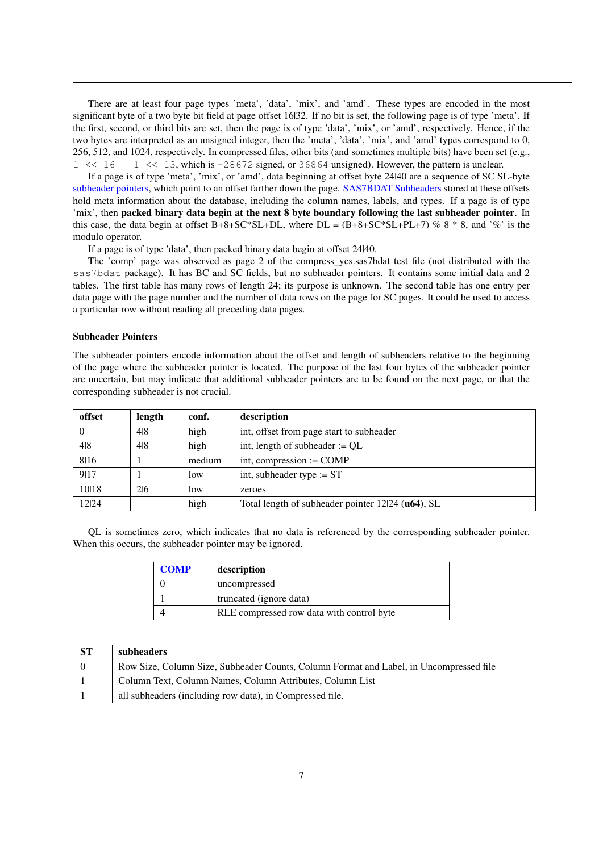There are at least four page types 'meta', 'data', 'mix', and 'amd'. These types are encoded in the most significant byte of a two byte bit field at page offset 16|32. If no bit is set, the following page is of type 'meta'. If the first, second, or third bits are set, then the page is of type 'data', 'mix', or 'amd', respectively. Hence, if the two bytes are interpreted as an unsigned integer, then the 'meta', 'data', 'mix', and 'amd' types correspond to 0, 256, 512, and 1024, respectively. In compressed files, other bits (and sometimes multiple bits) have been set (e.g.,  $1 \leq 16$  |  $1 \leq 13$ , which is -28672 signed, or 36864 unsigned). However, the pattern is unclear.

If a page is of type 'meta', 'mix', or 'amd', data beginning at offset byte 24|40 are a sequence of SC SL-byte [subheader pointers,](#page-6-0) which point to an offset farther down the page. [SAS7BDAT Subheaders](#page-7-0) stored at these offsets hold meta information about the database, including the column names, labels, and types. If a page is of type 'mix', then packed binary data begin at the next 8 byte boundary following the last subheader pointer. In this case, the data begin at offset B+8+SC\*SL+DL, where  $DL = (B+8+SC*SL+PL+7)$  % 8  $*$  8, and '%' is the modulo operator.

If a page is of type 'data', then packed binary data begin at offset 24|40.

The 'comp' page was observed as page 2 of the compress yes.sas7bdat test file (not distributed with the sas7bdat package). It has BC and SC fields, but no subheader pointers. It contains some initial data and 2 tables. The first table has many rows of length 24; its purpose is unknown. The second table has one entry per data page with the page number and the number of data rows on the page for SC pages. It could be used to access a particular row without reading all preceding data pages.

#### <span id="page-6-0"></span>Subheader Pointers

The subheader pointers encode information about the offset and length of subheaders relative to the beginning of the page where the subheader pointer is located. The purpose of the last four bytes of the subheader pointer are uncertain, but may indicate that additional subheader pointers are to be found on the next page, or that the corresponding subheader is not crucial.

| offset | length | conf.  | description                                       |
|--------|--------|--------|---------------------------------------------------|
| 0      | 418    | high   | int, offset from page start to subheader          |
| 4 8    | 4 8    | high   | int, length of subheader $:= QL$                  |
| 8116   |        | medium | int, compression $:=$ COMP                        |
| 9117   |        | low    | int, subheader type $:=$ ST                       |
| 1018   | 216    | low    | zeroes                                            |
| 12 24  |        | high   | Total length of subheader pointer 12l24 (u64), SL |

QL is sometimes zero, which indicates that no data is referenced by the corresponding subheader pointer. When this occurs, the subheader pointer may be ignored.

| <b>COMP</b> | description                               |
|-------------|-------------------------------------------|
|             | uncompressed                              |
|             | truncated (ignore data)                   |
|             | RLE compressed row data with control byte |

| -ST | subheaders                                                                             |
|-----|----------------------------------------------------------------------------------------|
|     | Row Size, Column Size, Subheader Counts, Column Format and Label, in Uncompressed file |
|     | Column Text, Column Names, Column Attributes, Column List                              |
|     | all subheaders (including row data), in Compressed file.                               |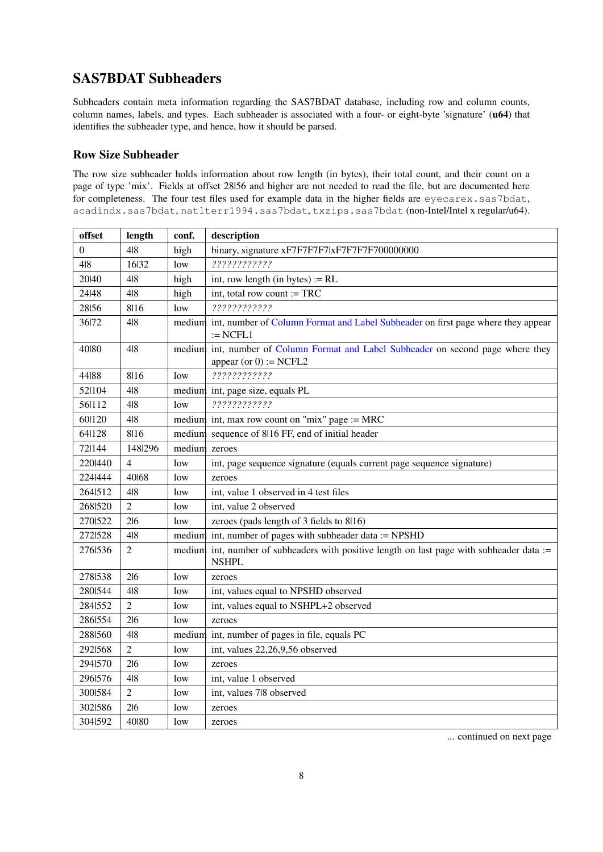# <span id="page-7-0"></span>SAS7BDAT Subheaders

Subheaders contain meta information regarding the SAS7BDAT database, including row and column counts, column names, labels, and types. Each subheader is associated with a four- or eight-byte 'signature' (u64) that identifies the subheader type, and hence, how it should be parsed.

## <span id="page-7-1"></span>Row Size Subheader

The row size subheader holds information about row length (in bytes), their total count, and their count on a page of type 'mix'. Fields at offset 28|56 and higher are not needed to read the file, but are documented here for completeness. The four test files used for example data in the higher fields are eyecarex.sas7bdat, acadindx.sas7bdat, natlterr1994.sas7bdat, txzips.sas7bdat (non-Intel/Intel x regular/u64).

| offset  | length         | conf.         | description                                                                                                    |  |  |
|---------|----------------|---------------|----------------------------------------------------------------------------------------------------------------|--|--|
| 0       | 4 8            | high          | binary, signature xF7F7F7F7lxF7F7F7F700000000                                                                  |  |  |
| 4 8     | 16 32          | low           | ?????????????                                                                                                  |  |  |
| 20140   | 4 8            | high          | int, row length (in bytes) $:=$ RL                                                                             |  |  |
| 24 48   | 4 8            | high          | int, total row count $:=$ TRC                                                                                  |  |  |
| 28156   | 8116           | low           | ?????????????                                                                                                  |  |  |
| 36 72   | 4 8            |               | medium int, number of Column Format and Label Subheader on first page where they appear<br>$:=$ NCFL1          |  |  |
| 40180   | 4 8            |               | medium int, number of Column Format and Label Subheader on second page where they<br>appear (or $0$ ) := NCFL2 |  |  |
| 44188   | 8116           | low           | ????????????                                                                                                   |  |  |
| 52 104  | 4 8            |               | medium int, page size, equals PL                                                                               |  |  |
| 56 112  | 4 8            | low           | ????????????                                                                                                   |  |  |
| 60 120  | 4 8            |               | medium int, max row count on "mix" page := MRC                                                                 |  |  |
| 64 128  | 8116           |               | medium sequence of 8116 FF, end of initial header                                                              |  |  |
| 72 144  | 148 296        | medium zeroes |                                                                                                                |  |  |
| 2201440 | $\overline{4}$ | low           | int, page sequence signature (equals current page sequence signature)                                          |  |  |
| 224 444 | 40168          | low           | zeroes                                                                                                         |  |  |
| 264 512 | 4 8            | low           | int, value 1 observed in 4 test files                                                                          |  |  |
| 268 520 | $\overline{2}$ | low           | int, value 2 observed                                                                                          |  |  |
| 2701522 | 2 6            | low           | zeroes (pads length of 3 fields to 8/16)                                                                       |  |  |
| 2721528 | 4 8            |               | medium int, number of pages with subheader data := NPSHD                                                       |  |  |
| 2761536 | $\overline{2}$ |               | medium int, number of subheaders with positive length on last page with subheader data :=<br><b>NSHPL</b>      |  |  |
| 2781538 | 2 6            | low           | zeroes                                                                                                         |  |  |
| 2801544 | 418            | low           | int, values equal to NPSHD observed                                                                            |  |  |
| 2841552 | $\overline{2}$ | low           | int, values equal to NSHPL+2 observed                                                                          |  |  |
| 2861554 | 216            | low           | zeroes                                                                                                         |  |  |
| 2881560 | 4 8            |               | medium int, number of pages in file, equals PC                                                                 |  |  |
| 2921568 | $\overline{2}$ | low           | int, values 22,26,9,56 observed                                                                                |  |  |
| 2941570 | 216            | low           | zeroes                                                                                                         |  |  |
| 2961576 | 4 8            | low           | int, value 1 observed                                                                                          |  |  |
| 3001584 | $\overline{2}$ | low           | int, values 7l8 observed                                                                                       |  |  |
| 3021586 | 216            | low           | zeroes                                                                                                         |  |  |
| 304 592 | 40180          | low           | zeroes                                                                                                         |  |  |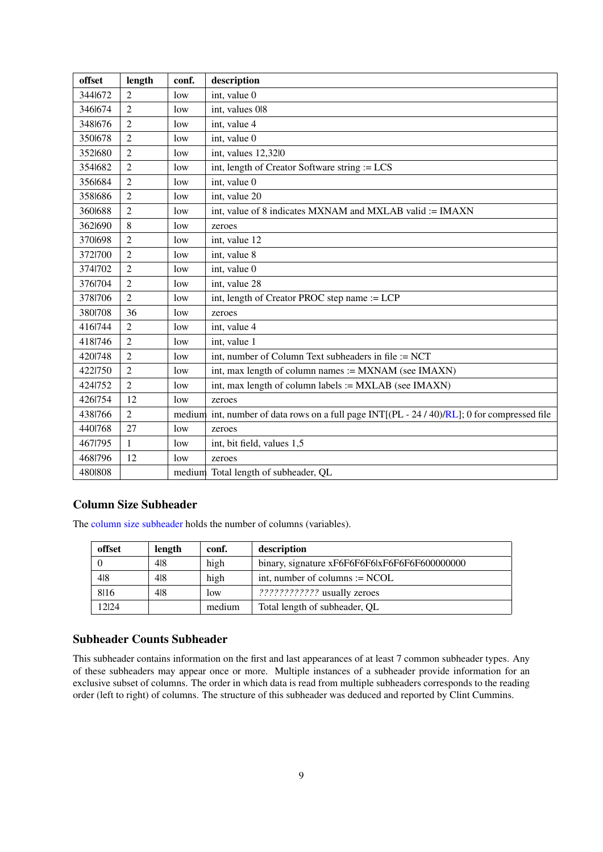| offset  | length         | conf.           | description                                                                           |  |  |
|---------|----------------|-----------------|---------------------------------------------------------------------------------------|--|--|
| 3441672 | $\overline{2}$ | low             | int, value 0                                                                          |  |  |
| 3461674 | $\overline{2}$ | low             | int, values 018                                                                       |  |  |
| 3481676 | $\overline{2}$ | low             | int, value 4                                                                          |  |  |
| 3501678 | $\overline{2}$ | low             | int, value 0                                                                          |  |  |
| 3521680 | $\overline{2}$ | low             | int, values 12,32l0                                                                   |  |  |
| 3541682 | $\overline{2}$ | low             | int, length of Creator Software string := LCS                                         |  |  |
| 3561684 | $\overline{2}$ | low             | int, value 0                                                                          |  |  |
| 3581686 | $\overline{2}$ | low             | int, value 20                                                                         |  |  |
| 3601688 | $\overline{2}$ | low             | int, value of 8 indicates MXNAM and MXLAB valid := IMAXN                              |  |  |
| 3621690 | 8              | low             | zeroes                                                                                |  |  |
| 3701698 | $\overline{2}$ | low             | int, value 12                                                                         |  |  |
| 3721700 | $\overline{2}$ | low             | int, value 8                                                                          |  |  |
| 3741702 | $\overline{2}$ | low             | int, value 0                                                                          |  |  |
| 3761704 | $\overline{2}$ | low             | int, value 28                                                                         |  |  |
| 3781706 | $\overline{2}$ | 1 <sub>ow</sub> | int, length of Creator PROC step name := LCP                                          |  |  |
| 3801708 | 36             | low             | zeroes                                                                                |  |  |
| 416 744 | $\overline{2}$ | low             | int, value 4                                                                          |  |  |
| 4181746 | $\overline{2}$ | low             | int, value 1                                                                          |  |  |
| 4201748 | $\overline{2}$ | low             | int, number of Column Text subheaders in file := NCT                                  |  |  |
| 4221750 | $\overline{2}$ | low             | int, max length of column names := MXNAM (see IMAXN)                                  |  |  |
| 4241752 | $\overline{2}$ | low             | int, max length of column labels := MXLAB (see IMAXN)                                 |  |  |
| 4261754 | 12             | low             | zeroes                                                                                |  |  |
| 4381766 | $\overline{2}$ | medium          | int, number of data rows on a full page INT[(PL - 24 / 40)/RL]; 0 for compressed file |  |  |
| 4401768 | 27             | low             | zeroes                                                                                |  |  |
| 4671795 | 1              | low             | int, bit field, values 1,5                                                            |  |  |
| 4681796 | 12             | low             | zeroes                                                                                |  |  |
| 4801808 |                |                 | medium Total length of subheader, QL                                                  |  |  |

## <span id="page-8-0"></span>Column Size Subheader

The [column size subheader](#page-8-0) holds the number of columns (variables).

| offset | length | conf.  | description                                   |
|--------|--------|--------|-----------------------------------------------|
|        | 418    | high   | binary, signature xF6F6F6F6lxF6F6F6F600000000 |
| 418    | 418    | high   | int, number of columns $:= NCOL$              |
| 8116   | 418    | low    | 222222222222 usually zeroes                   |
| 12124  |        | medium | Total length of subheader, QL                 |

# Subheader Counts Subheader

This subheader contains information on the first and last appearances of at least 7 common subheader types. Any of these subheaders may appear once or more. Multiple instances of a subheader provide information for an exclusive subset of columns. The order in which data is read from multiple subheaders corresponds to the reading order (left to right) of columns. The structure of this subheader was deduced and reported by Clint Cummins.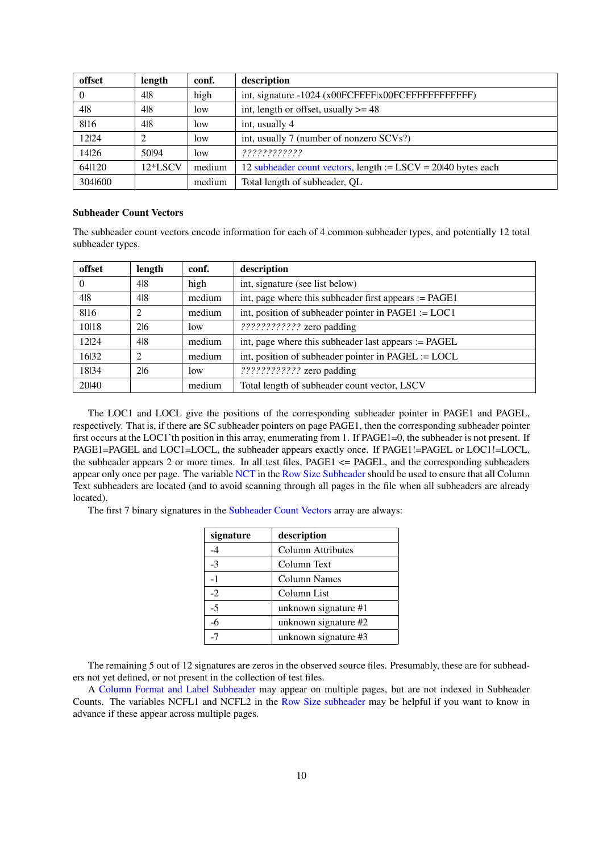| offset  | length  | conf.  | description                                                     |  |
|---------|---------|--------|-----------------------------------------------------------------|--|
| 0       | 418     | high   |                                                                 |  |
| 4 8     | 418     | low    | int, length or offset, usually $>= 48$                          |  |
| 8116    | 418     | low    | int, usually 4                                                  |  |
| 12 24   |         | low    | int, usually 7 (number of nonzero SCVs?)                        |  |
| 1426    | 50194   | low    | ????????????                                                    |  |
| 64 120  | 12*LSCV | medium | 12 subheader count vectors, length $:=$ LSCV = 20140 bytes each |  |
| 3041600 |         | medium | Total length of subheader, OL                                   |  |

#### <span id="page-9-0"></span>Subheader Count Vectors

The subheader count vectors encode information for each of 4 common subheader types, and potentially 12 total subheader types.

| offset   | length         | conf.  | description                                             |  |
|----------|----------------|--------|---------------------------------------------------------|--|
| $\Omega$ | 418            | high   | int, signature (see list below)                         |  |
| 4 8      | 4 8            | medium | int, page where this subheader first appears $:=$ PAGE1 |  |
| 8116     | $\mathfrak{D}$ | medium | int, position of subheader pointer in PAGE1 := $LOC1$   |  |
| 1018     | 216            | low    | ???????????? zero padding                               |  |
| 12 24    | 48             | medium | int, page where this subheader last appears := PAGEL    |  |
| 1632     | $\overline{c}$ | medium | int, position of subheader pointer in PAGEL := LOCL     |  |
| 1834     | 216            | low    | ???????????? zero padding                               |  |
| 20140    |                | medium | Total length of subheader count vector, LSCV            |  |

The LOC1 and LOCL give the positions of the corresponding subheader pointer in PAGE1 and PAGEL, respectively. That is, if there are SC subheader pointers on page PAGE1, then the corresponding subheader pointer first occurs at the LOC1'th position in this array, enumerating from 1. If PAGE1=0, the subheader is not present. If PAGE1=PAGEL and LOC1=LOCL, the subheader appears exactly once. If PAGE1!=PAGEL or LOC1!=LOCL, the subheader appears 2 or more times. In all test files, PAGE1 <= PAGEL, and the corresponding subheaders appear only once per page. The variable [NCT](#page-0-1) in the [Row Size Subheader](#page-7-1) should be used to ensure that all Column Text subheaders are located (and to avoid scanning through all pages in the file when all subheaders are already located).

The first 7 binary signatures in the [Subheader Count Vectors](#page-9-0) array are always:

| signature | description          |
|-----------|----------------------|
| -4        | Column Attributes    |
| $-3$      | Column Text          |
| $-1$      | <b>Column Names</b>  |
| $-2$      | Column List          |
| $-5$      | unknown signature #1 |
| $-6$      | unknown signature #2 |
| -7        | unknown signature #3 |

The remaining 5 out of 12 signatures are zeros in the observed source files. Presumably, these are for subheaders not yet defined, or not present in the collection of test files.

A [Column Format and Label Subheader](#page-11-0) may appear on multiple pages, but are not indexed in Subheader Counts. The variables NCFL1 and NCFL2 in the [Row Size subheader](#page-7-1) may be helpful if you want to know in advance if these appear across multiple pages.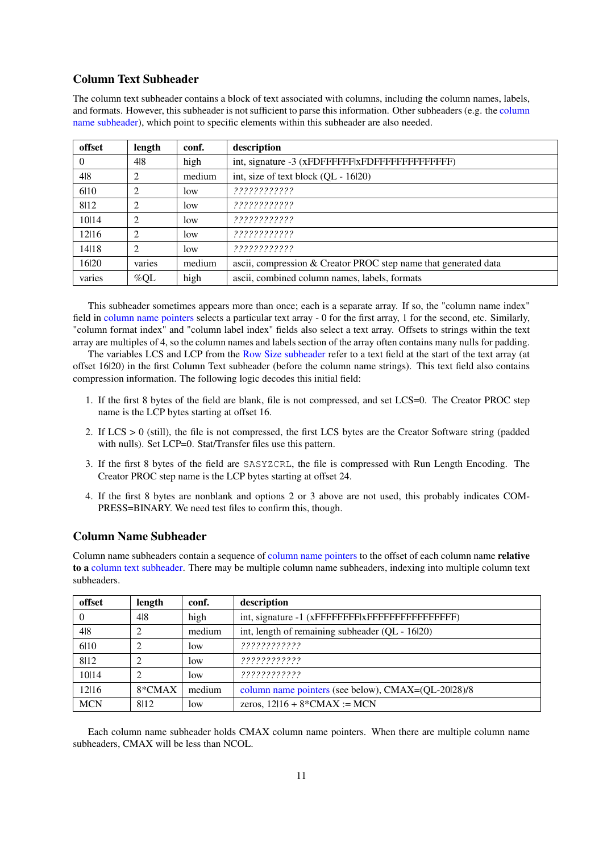## <span id="page-10-1"></span>Column Text Subheader

The column text subheader contains a block of text associated with columns, including the column names, labels, and formats. However, this subheader is not sufficient to parse this information. Other subheaders (e.g. the [column](#page-10-0) [name subheader\)](#page-10-0), which point to specific elements within this subheader are also needed.

| offset   | length         | conf.  | description                                                     |  |
|----------|----------------|--------|-----------------------------------------------------------------|--|
| $\Omega$ | 4 8            | high   |                                                                 |  |
| 4 8      | $\mathfrak{D}$ | medium | int, size of text block $(OL - 16120)$                          |  |
| 610      | $\overline{2}$ | low    | ????????????                                                    |  |
| 8112     | $\overline{2}$ | low    | ????????????                                                    |  |
| 10114    | $\overline{c}$ | low    | ????????????                                                    |  |
| 12116    | $\mathcal{L}$  | low    | ????????????                                                    |  |
| 14 18    | $\overline{2}$ | low    | ????????????                                                    |  |
| 16 20    | varies         | medium | ascii, compression & Creator PROC step name that generated data |  |
| varies   | $\%$ QL        | high   | ascii, combined column names, labels, formats                   |  |

This subheader sometimes appears more than once; each is a separate array. If so, the "column name index" field in [column name pointers](#page-11-1) selects a particular text array - 0 for the first array, 1 for the second, etc. Similarly, "column format index" and "column label index" fields also select a text array. Offsets to strings within the text array are multiples of 4, so the column names and labels section of the array often contains many nulls for padding.

The variables LCS and LCP from the [Row Size subheader](#page-7-1) refer to a text field at the start of the text array (at offset 16|20) in the first Column Text subheader (before the column name strings). This text field also contains compression information. The following logic decodes this initial field:

- 1. If the first 8 bytes of the field are blank, file is not compressed, and set LCS=0. The Creator PROC step name is the LCP bytes starting at offset 16.
- 2. If LCS > 0 (still), the file is not compressed, the first LCS bytes are the Creator Software string (padded with nulls). Set LCP=0. Stat/Transfer files use this pattern.
- 3. If the first 8 bytes of the field are SASYZCRL, the file is compressed with Run Length Encoding. The Creator PROC step name is the LCP bytes starting at offset 24.
- 4. If the first 8 bytes are nonblank and options 2 or 3 above are not used, this probably indicates COM-PRESS=BINARY. We need test files to confirm this, though.

## <span id="page-10-0"></span>Column Name Subheader

Column name subheaders contain a sequence of [column name pointers](#page-11-1) to the offset of each column name relative to a [column text subheader.](#page-10-1) There may be multiple column name subheaders, indexing into multiple column text subheaders.

| offset     | length   | conf.  | description                                         |  |
|------------|----------|--------|-----------------------------------------------------|--|
| $\theta$   | 4 8      | high   |                                                     |  |
| 4 8        |          | medium | int, length of remaining subheader (QL - 16/20)     |  |
| 610        |          | low    | ????????????                                        |  |
| 8112       |          | low    | ????????????                                        |  |
| 10 14      |          | low    | ????????????                                        |  |
| 12116      | $8*CMAX$ | medium | column name pointers (see below), CMAX=(QL-20l28)/8 |  |
| <b>MCN</b> | 8112     | low    | zeros, $12/16 + 8*CMAX := MCN$                      |  |

Each column name subheader holds CMAX column name pointers. When there are multiple column name subheaders, CMAX will be less than NCOL.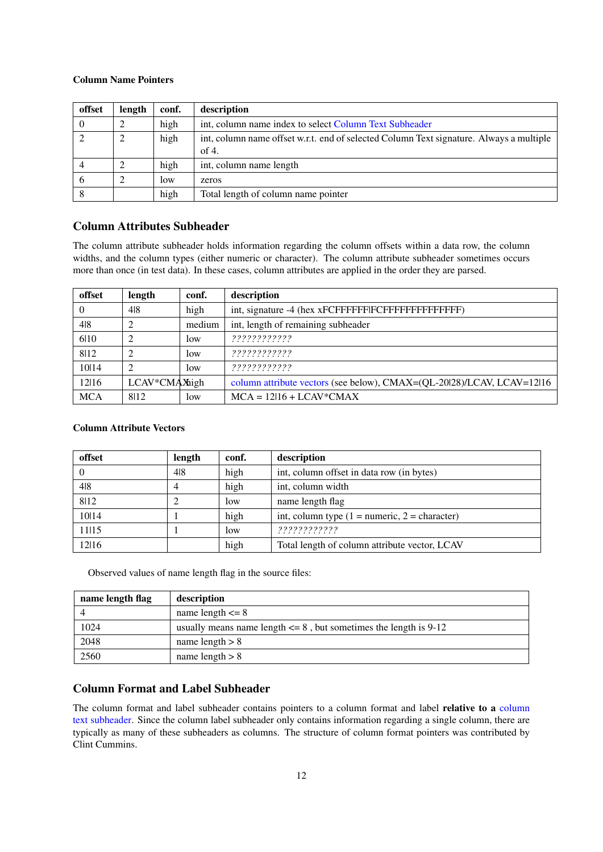#### <span id="page-11-1"></span>Column Name Pointers

| offset   | length | conf. | description                                                                                      |
|----------|--------|-------|--------------------------------------------------------------------------------------------------|
| $\theta$ | ∍      | high  | int, column name index to select Column Text Subheader                                           |
|          | 2      | high  | int, column name offset w.r.t. end of selected Column Text signature. Always a multiple<br>of 4. |
|          | ◠      | high  | int, column name length                                                                          |
| 6        | ↑      | low   | zeros                                                                                            |
| 8        |        | high  | Total length of column name pointer                                                              |

## <span id="page-11-3"></span>Column Attributes Subheader

The column attribute subheader holds information regarding the column offsets within a data row, the column widths, and the column types (either numeric or character). The column attribute subheader sometimes occurs more than once (in test data). In these cases, column attributes are applied in the order they are parsed.

| offset         | length         | conf.  | description                                                            |  |
|----------------|----------------|--------|------------------------------------------------------------------------|--|
| $\overline{0}$ | 418            | high   |                                                                        |  |
| 4 8            |                | medium | int, length of remaining subheader                                     |  |
| 610            | $\overline{c}$ | low    | ?????????????                                                          |  |
| 8112           | $\overline{c}$ | low    | ????????????                                                           |  |
| 1014           | ∍              | low    | ????????????                                                           |  |
| 12 16          | LCAV*CMAXhigh  |        | column attribute vectors (see below), CMAX=(QL-20128)/LCAV, LCAV=12116 |  |
| <b>MCA</b>     | 8112           | low    | $MCA = 12116 + LCAV*CMAX$                                              |  |

### <span id="page-11-2"></span>Column Attribute Vectors

| offset   | length | conf. | description                                       |
|----------|--------|-------|---------------------------------------------------|
| $\theta$ | 418    | high  | int, column offset in data row (in bytes)         |
| 4 8      | 4      | high  | int, column width                                 |
| 8112     |        | low   | name length flag                                  |
| 10 14    |        | high  | int, column type $(1 =$ numeric, $2 =$ character) |
| 11 15    |        | low   | ????????????                                      |
| 12116    |        | high  | Total length of column attribute vector, LCAV     |

Observed values of name length flag in the source files:

| name length flag | description                                                           |  |  |
|------------------|-----------------------------------------------------------------------|--|--|
|                  | name length $\leq$ 8                                                  |  |  |
| 1024             | usually means name length $\leq 8$ , but sometimes the length is 9-12 |  |  |
| 2048             | name length $> 8$                                                     |  |  |
| 2560             | name length $> 8$                                                     |  |  |

## <span id="page-11-0"></span>Column Format and Label Subheader

The [column](#page-10-1) format and label subheader contains pointers to a column format and label relative to a column [text subheader.](#page-10-1) Since the column label subheader only contains information regarding a single column, there are typically as many of these subheaders as columns. The structure of column format pointers was contributed by Clint Cummins.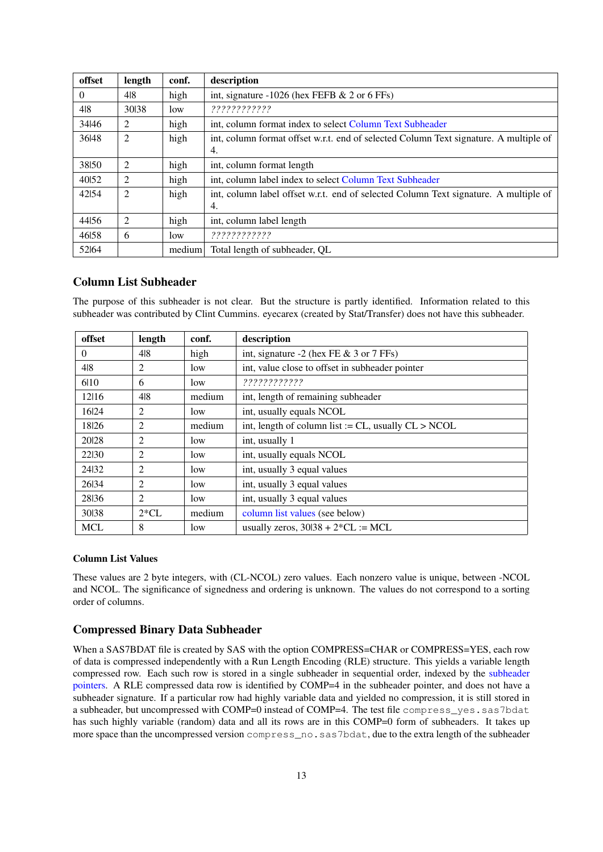| offset   | length         | conf.  | description                                                                                 |  |  |  |
|----------|----------------|--------|---------------------------------------------------------------------------------------------|--|--|--|
| $\Omega$ | 418            | high   | int, signature $-1026$ (hex FEFB & 2 or 6 FFs)                                              |  |  |  |
| 4 8      | 30138          | low    | ?????????????                                                                               |  |  |  |
| 34 46    | 2              | high   | int, column format index to select Column Text Subheader                                    |  |  |  |
| 36 48    | $\overline{2}$ | high   | int, column format offset w.r.t. end of selected Column Text signature. A multiple of<br>4. |  |  |  |
| 38150    | 2              | high   | int, column format length                                                                   |  |  |  |
| 40152    | 2              | high   | int, column label index to select Column Text Subheader                                     |  |  |  |
| 42154    | 2              | high   | int, column label offset w.r.t. end of selected Column Text signature. A multiple of<br>4.  |  |  |  |
| 4456     | 2              | high   | int, column label length                                                                    |  |  |  |
| 4658     | 6              | low    | ????????????                                                                                |  |  |  |
| 52164    |                | medium | Total length of subheader, OL                                                               |  |  |  |

## Column List Subheader

The purpose of this subheader is not clear. But the structure is partly identified. Information related to this subheader was contributed by Clint Cummins. eyecarex (created by Stat/Transfer) does not have this subheader.

| offset     | length         | conf.  | description                                              |  |  |
|------------|----------------|--------|----------------------------------------------------------|--|--|
| $\theta$   | 418            | high   | int, signature $-2$ (hex FE & 3 or 7 FFs)                |  |  |
| 4 8        | 2              | low    | int, value close to offset in subheader pointer          |  |  |
| 610        | 6              | low    | ?????????????                                            |  |  |
| 12116      | 418            | medium | int, length of remaining subheader                       |  |  |
| 16 24      | $\overline{2}$ | low    | int, usually equals NCOL                                 |  |  |
| 18 26      | 2              | medium | int, length of column list := $CL$ , usually $CL > NCOL$ |  |  |
| 20128      | $\overline{2}$ | low    | int, usually 1                                           |  |  |
| 22130      | $\overline{2}$ | low    | int, usually equals NCOL                                 |  |  |
| 24132      | 2              | low    | int, usually 3 equal values                              |  |  |
| 26 34      | 2              | low    | int, usually 3 equal values                              |  |  |
| 28136      | $\overline{2}$ | low    | int, usually 3 equal values                              |  |  |
| 30138      | $2*CL$         | medium | column list values (see below)                           |  |  |
| <b>MCL</b> | 8              | low    | usually zeros, $30138 + 2*CL := MCL$                     |  |  |

#### <span id="page-12-0"></span>Column List Values

These values are 2 byte integers, with (CL-NCOL) zero values. Each nonzero value is unique, between -NCOL and NCOL. The significance of signedness and ordering is unknown. The values do not correspond to a sorting order of columns.

### Compressed Binary Data Subheader

When a SAS7BDAT file is created by SAS with the option COMPRESS=CHAR or COMPRESS=YES, each row of data is compressed independently with a Run Length Encoding (RLE) structure. This yields a variable length compressed row. Each such row is stored in a single subheader in sequential order, indexed by the [subheader](#page-6-0) [pointers.](#page-6-0) A RLE compressed data row is identified by COMP=4 in the subheader pointer, and does not have a subheader signature. If a particular row had highly variable data and yielded no compression, it is still stored in a subheader, but uncompressed with COMP=0 instead of COMP=4. The test file compress\_yes.sas7bdat has such highly variable (random) data and all its rows are in this COMP=0 form of subheaders. It takes up more space than the uncompressed version compress\_no.sas7bdat, due to the extra length of the subheader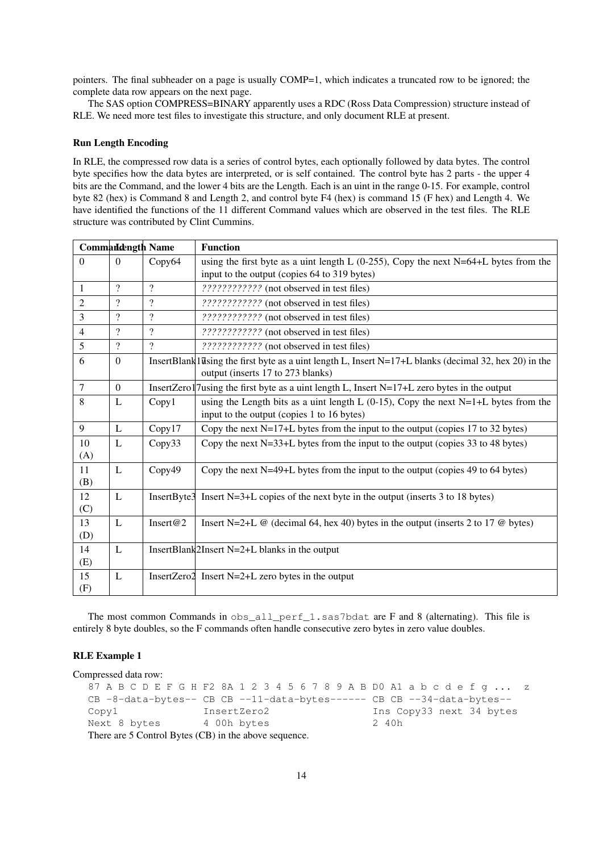pointers. The final subheader on a page is usually COMP=1, which indicates a truncated row to be ignored; the complete data row appears on the next page.

The SAS option COMPRESS=BINARY apparently uses a RDC (Ross Data Compression) structure instead of RLE. We need more test files to investigate this structure, and only document RLE at present.

#### Run Length Encoding

In RLE, the compressed row data is a series of control bytes, each optionally followed by data bytes. The control byte specifies how the data bytes are interpreted, or is self contained. The control byte has 2 parts - the upper 4 bits are the Command, and the lower 4 bits are the Length. Each is an uint in the range 0-15. For example, control byte 82 (hex) is Command 8 and Length 2, and control byte F4 (hex) is command 15 (F hex) and Length 4. We have identified the functions of the 11 different Command values which are observed in the test files. The RLE structure was contributed by Clint Cummins.

|                |                          | <b>Commandength Name</b> | <b>Function</b>                                                                                                                                      |  |  |
|----------------|--------------------------|--------------------------|------------------------------------------------------------------------------------------------------------------------------------------------------|--|--|
| $\Omega$       | $\Omega$                 | Copy64                   | using the first byte as a uint length L $(0-255)$ , Copy the next N=64+L bytes from the<br>input to the output (copies 64 to 319 bytes)              |  |  |
| $\mathbf{1}$   | $\gamma$                 | $\overline{\mathcal{E}}$ | ???????????? (not observed in test files)                                                                                                            |  |  |
| $\overline{c}$ | $\overline{\mathcal{L}}$ | $\overline{\mathcal{L}}$ | ???????????? (not observed in test files)                                                                                                            |  |  |
| 3              | $\gamma$                 | $\overline{\mathcal{L}}$ | ???????????? (not observed in test files)                                                                                                            |  |  |
| $\overline{4}$ | $\gamma$                 | $\overline{\cdot}$       | ???????????? (not observed in test files)                                                                                                            |  |  |
| 5              | $\gamma$                 | 7                        | ???????????? (not observed in test files)                                                                                                            |  |  |
| 6              | $\Omega$                 |                          | InsertBlank1 $\bar{u}$ sing the first byte as a uint length L, Insert N=17+L blanks (decimal 32, hex 20) in the<br>output (inserts 17 to 273 blanks) |  |  |
| $\overline{7}$ | $\Omega$                 |                          | InsertZero1/7 using the first byte as a uint length L, Insert $N=17+L$ zero bytes in the output                                                      |  |  |
| 8              | L                        | Copy1                    | using the Length bits as a uint length L $(0-15)$ , Copy the next N=1+L bytes from the<br>input to the output (copies 1 to 16 bytes)                 |  |  |
| 9              | L                        | Copy17                   | Copy the next $N=17+L$ bytes from the input to the output (copies 17 to 32 bytes)                                                                    |  |  |
| 10<br>(A)      | L                        | Copy33                   | Copy the next $N=33+L$ bytes from the input to the output (copies 33 to 48 bytes)                                                                    |  |  |
| 11<br>(B)      | L                        | Copy49                   | Copy the next N=49+L bytes from the input to the output (copies 49 to 64 bytes)                                                                      |  |  |
| 12<br>(C)      | L                        |                          | InsertByte $3$ Insert N=3+L copies of the next byte in the output (inserts 3 to 18 bytes)                                                            |  |  |
| 13<br>(D)      | L                        | Insert@2                 | Insert N=2+L $\omega$ (decimal 64, hex 40) bytes in the output (inserts 2 to 17 $\omega$ bytes)                                                      |  |  |
| 14<br>(E)      | L                        |                          | InsertBlank $2$ Insert N=2+L blanks in the output                                                                                                    |  |  |
| 15<br>(F)      | L                        |                          | InsertZero2 Insert N=2+L zero bytes in the output                                                                                                    |  |  |

The most common Commands in obs\_all\_perf\_1.sas7bdat are F and 8 (alternating). This file is entirely 8 byte doubles, so the F commands often handle consecutive zero bytes in zero value doubles.

#### RLE Example 1

Compressed data row:

```
87 A B C D E F G H F2 8A 1 2 3 4 5 6 7 8 9 A B D0 A1 a b c d e f g ... z
CB -8-data-bytes-- CB CB --11-data-bytes------ CB CB --34-data-bytes--
Copy1 InsertZero2 Ins Copy33 next 34 bytes
Next 8 bytes 4 00h bytes 2 40h
There are 5 Control Bytes (CB) in the above sequence.
```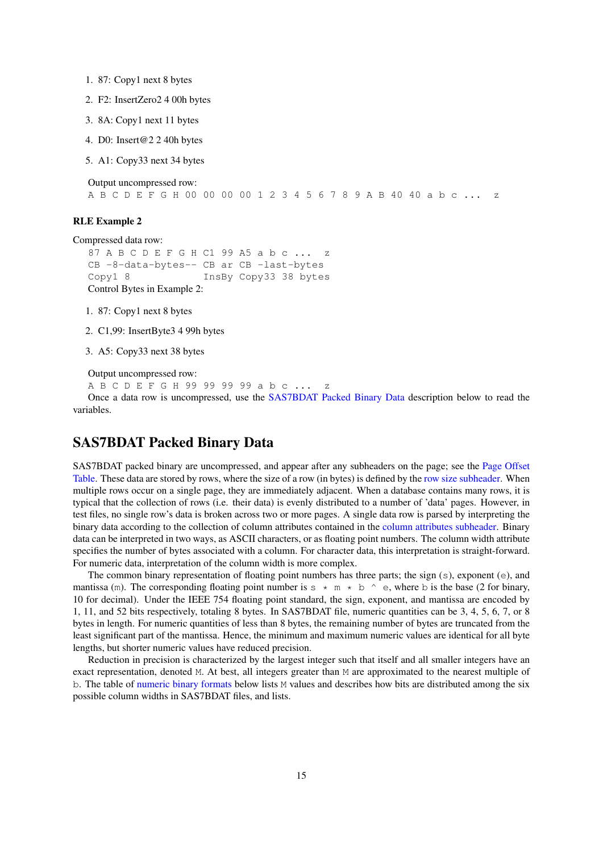- 1. 87: Copy1 next 8 bytes
- 2. F2: InsertZero2 4 00h bytes
- 3. 8A: Copy1 next 11 bytes
- 4. D0: Insert@2 2 40h bytes
- 5. A1: Copy33 next 34 bytes

Output uncompressed row:

A B C D E F G H 00 00 00 00 1 2 3 4 5 6 7 8 9 A B 40 40 a b c ... z

#### RLE Example 2

Compressed data row:

```
87 A B C D E F G H C1 99 A5 a b c ...
CB -8-data-bytes-- CB ar CB -last-bytes
Copy1 8 InsBy Copy33 38 bytes
Control Bytes in Example 2:
```
1. 87: Copy1 next 8 bytes

2. C1,99: InsertByte3 4 99h bytes

3. A5: Copy33 next 38 bytes

```
Output uncompressed row:
```

```
A B C D E F G H 99 99 99 99 a b c ... z
```
Once a data row is uncompressed, use the [SAS7BDAT Packed Binary Data](#page-14-0) description below to read the variables.

## <span id="page-14-0"></span>SAS7BDAT Packed Binary Data

SAS7BDAT packed binary are uncompressed, and appear after any subheaders on the page; see the [Page Offset](#page-5-1) [Table.](#page-5-1) These data are stored by rows, where the size of a row (in bytes) is defined by the [row size subheader.](#page-7-1) When multiple rows occur on a single page, they are immediately adjacent. When a database contains many rows, it is typical that the collection of rows (i.e. their data) is evenly distributed to a number of 'data' pages. However, in test files, no single row's data is broken across two or more pages. A single data row is parsed by interpreting the binary data according to the collection of column attributes contained in the [column attributes subheader.](#page-11-3) Binary data can be interpreted in two ways, as ASCII characters, or as floating point numbers. The column width attribute specifies the number of bytes associated with a column. For character data, this interpretation is straight-forward. For numeric data, interpretation of the column width is more complex.

The common binary representation of floating point numbers has three parts; the sign  $(s)$ , exponent  $(e)$ , and mantissa (m). The corresponding floating point number is  $s * m * b$  ^ e, where b is the base (2 for binary, 10 for decimal). Under the IEEE 754 floating point standard, the sign, exponent, and mantissa are encoded by 1, 11, and 52 bits respectively, totaling 8 bytes. In SAS7BDAT file, numeric quantities can be 3, 4, 5, 6, 7, or 8 bytes in length. For numeric quantities of less than 8 bytes, the remaining number of bytes are truncated from the least significant part of the mantissa. Hence, the minimum and maximum numeric values are identical for all byte lengths, but shorter numeric values have reduced precision.

Reduction in precision is characterized by the largest integer such that itself and all smaller integers have an exact representation, denoted M. At best, all integers greater than M are approximated to the nearest multiple of b. The table of [numeric binary formats](#page-15-1) below lists M values and describes how bits are distributed among the six possible column widths in SAS7BDAT files, and lists.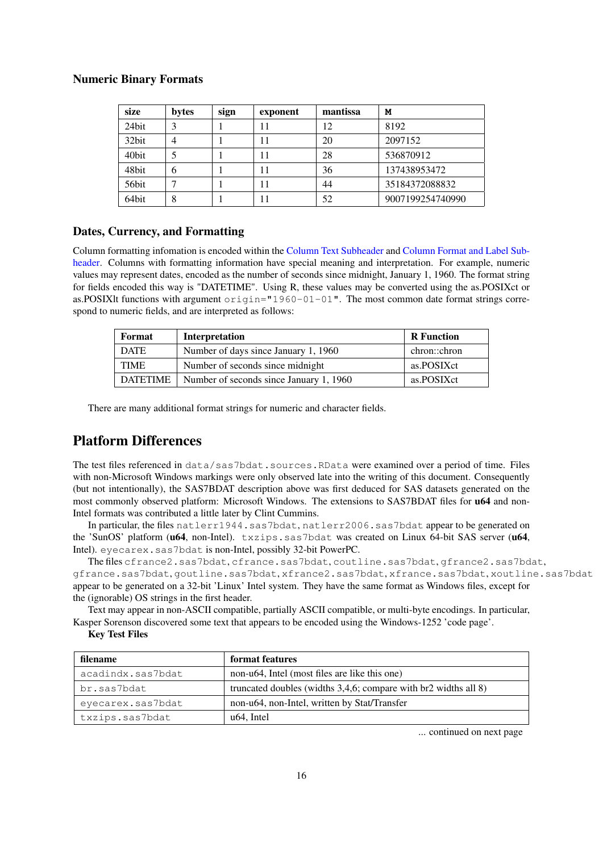### <span id="page-15-1"></span>Numeric Binary Formats

| size  | bytes | sign | exponent | mantissa | M                |
|-------|-------|------|----------|----------|------------------|
| 24bit | 2     |      |          | 12       | 8192             |
| 32bit | 4     |      | 11       | 20       | 2097152          |
| 40bit |       |      | 11       | 28       | 536870912        |
| 48bit | 6     |      | 11       | 36       | 137438953472     |
| 56bit |       |      | 11       | 44       | 35184372088832   |
| 64bit | 8     |      |          | 52       | 9007199254740990 |

## Dates, Currency, and Formatting

Column formatting infomation is encoded within the [Column Text Subheader](#page-10-1) and [Column Format and Label Sub](#page-11-0)[header.](#page-11-0) Columns with formatting information have special meaning and interpretation. For example, numeric values may represent dates, encoded as the number of seconds since midnight, January 1, 1960. The format string for fields encoded this way is "DATETIME". Using R, these values may be converted using the as.POSIXct or as.POSIXlt functions with argument origin="1960-01-01". The most common date format strings correspond to numeric fields, and are interpreted as follows:

| Format          | <b>Interpretation</b>                   | <b>R</b> Function |
|-----------------|-----------------------------------------|-------------------|
| <b>DATE</b>     | Number of days since January 1, 1960    | chron::chron      |
| <b>TIME</b>     | Number of seconds since midnight        | as.POSIXct        |
| <b>DATETIME</b> | Number of seconds since January 1, 1960 | as.POSIXct        |

There are many additional format strings for numeric and character fields.

# <span id="page-15-0"></span>Platform Differences

The test files referenced in data/sas7bdat.sources.RData were examined over a period of time. Files with non-Microsoft Windows markings were only observed late into the writing of this document. Consequently (but not intentionally), the SAS7BDAT description above was first deduced for SAS datasets generated on the most commonly observed platform: Microsoft Windows. The extensions to SAS7BDAT files for **u64** and non-Intel formats was contributed a little later by Clint Cummins.

In particular, the files natlerr1944.sas7bdat, natlerr2006.sas7bdat appear to be generated on the 'SunOS' platform (u64, non-Intel). txzips.sas7bdat was created on Linux 64-bit SAS server (u64, Intel). eyecarex.sas7bdat is non-Intel, possibly 32-bit PowerPC.

The files cfrance2.sas7bdat, cfrance.sas7bdat, coutline.sas7bdat, gfrance2.sas7bdat, gfrance.sas7bdat, goutline.sas7bdat, xfrance2.sas7bdat, xfrance.sas7bdat, xoutline.sas7bdat appear to be generated on a 32-bit 'Linux' Intel system. They have the same format as Windows files, except for the (ignorable) OS strings in the first header.

Text may appear in non-ASCII compatible, partially ASCII compatible, or multi-byte encodings. In particular, Kasper Sorenson discovered some text that appears to be encoded using the Windows-1252 'code page'.

#### Key Test Files

| filename          | format features                                                 |  |
|-------------------|-----------------------------------------------------------------|--|
| acadindx.sas7bdat | non-u64, Intel (most files are like this one)                   |  |
| br.sas7bdat       | truncated doubles (widths 3,4,6; compare with br2 widths all 8) |  |
| eyecarex.sas7bdat | non-u64, non-Intel, written by Stat/Transfer                    |  |
| txzips.sas7bdat   | u <sub>64</sub> . Intel                                         |  |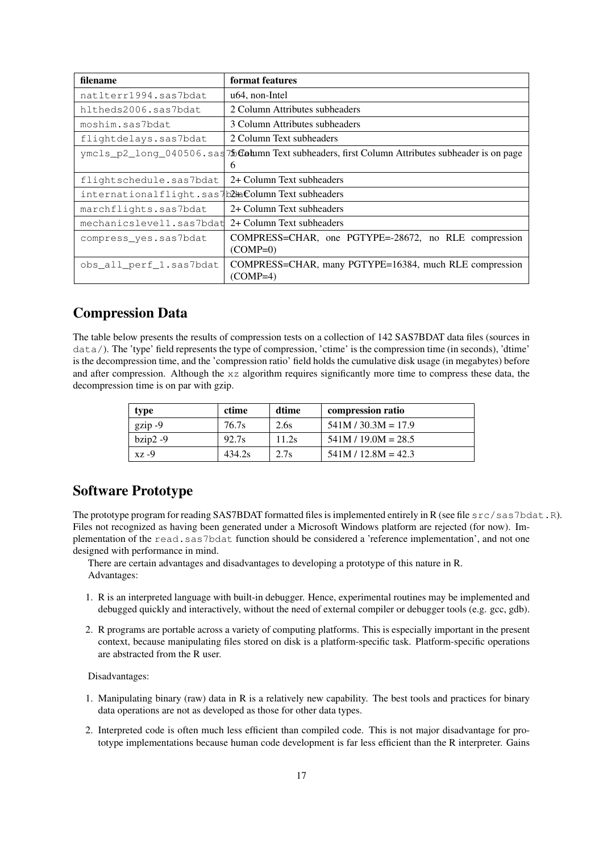| filename                                           | format features                                                                                      |
|----------------------------------------------------|------------------------------------------------------------------------------------------------------|
| natlterr1994.sas7bdat                              | u <sub>64</sub> , non-Intel                                                                          |
| hltheds2006.sas7bdat                               | 2 Column Attributes subheaders                                                                       |
| moshim.sas7bdat                                    | 3 Column Attributes subheaders                                                                       |
| flightdelays.sas7bdat                              | 2 Column Text subheaders                                                                             |
|                                                    | $ymcls_p2_long_040506$ . sas 75 Gotumn Text subheaders, first Column Attributes subheader is on page |
|                                                    | 6                                                                                                    |
| flightschedule.sas7bdat                            | 2+ Column Text subheaders                                                                            |
| internationalflight.sas7b2HaColumn Text subheaders |                                                                                                      |
| marchflights.sas7bdat                              | 2+ Column Text subheaders                                                                            |
| mechanicslevel1.sas7bdat                           | 2+ Column Text subheaders                                                                            |
| compress yes.sas7bdat                              | COMPRESS=CHAR, one PGTYPE=-28672, no RLE compression                                                 |
|                                                    | $(COMP=0)$                                                                                           |
| obs all perf 1.sas7bdat                            | COMPRESS=CHAR, many PGTYPE=16384, much RLE compression                                               |
|                                                    | $(COMP=4)$                                                                                           |

# <span id="page-16-0"></span>Compression Data

The table below presents the results of compression tests on a collection of 142 SAS7BDAT data files (sources in data/). The 'type' field represents the type of compression, 'ctime' is the compression time (in seconds), 'dtime' is the decompression time, and the 'compression ratio' field holds the cumulative disk usage (in megabytes) before and after compression. Although the xz algorithm requires significantly more time to compress these data, the decompression time is on par with gzip.

| type       | ctime  | dtime | compression ratio     |
|------------|--------|-------|-----------------------|
| $gzip -9$  | 76.7s  | 2.6s  | $541M / 30.3M = 17.9$ |
| $bzip2 -9$ | 92.7s  | 11.2s | $541M / 19.0M = 28.5$ |
| xz -9      | 434.2s | 2.7s  | $541M / 12.8M = 42.3$ |

# <span id="page-16-1"></span>Software Prototype

The prototype program for reading SAS7BDAT formatted files is implemented entirely in R (see file  $src / s$ as7bdat.R). Files not recognized as having been generated under a Microsoft Windows platform are rejected (for now). Implementation of the read.sas7bdat function should be considered a 'reference implementation', and not one designed with performance in mind.

There are certain advantages and disadvantages to developing a prototype of this nature in R. Advantages:

- 1. R is an interpreted language with built-in debugger. Hence, experimental routines may be implemented and debugged quickly and interactively, without the need of external compiler or debugger tools (e.g. gcc, gdb).
- 2. R programs are portable across a variety of computing platforms. This is especially important in the present context, because manipulating files stored on disk is a platform-specific task. Platform-specific operations are abstracted from the R user.

Disadvantages:

- 1. Manipulating binary (raw) data in R is a relatively new capability. The best tools and practices for binary data operations are not as developed as those for other data types.
- 2. Interpreted code is often much less efficient than compiled code. This is not major disadvantage for prototype implementations because human code development is far less efficient than the R interpreter. Gains